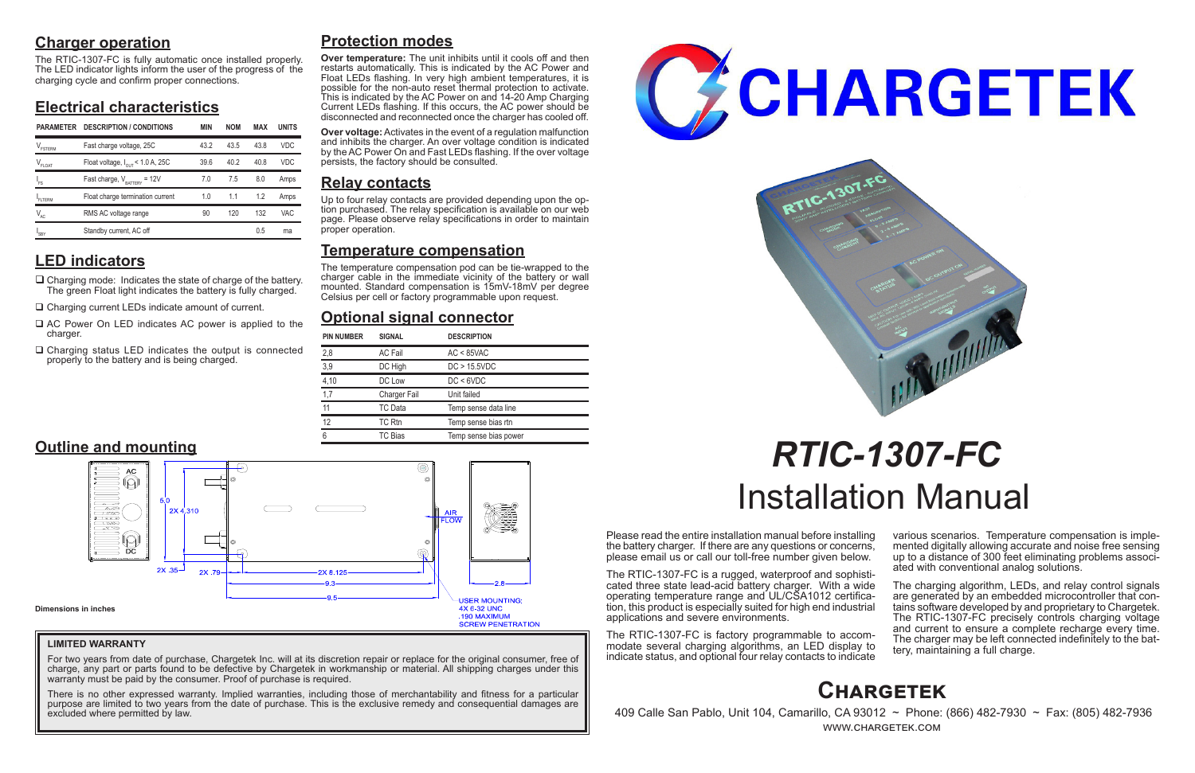# **Charger operation**

The RTIC-1307-FC is fully automatic once installed properly. The LED indicator lights inform the user of the progress of the charging cycle and confirm proper connections.

# **Electrical characteristics**

# **LED indicators**

- $\Box$  Charging mode: Indicates the state of charge of the battery. The green Float light indicates the battery is fully charged.
- □ Charging current LEDs indicate amount of current.
- $\Box$  AC Power On LED indicates AC power is applied to the charger.
- $\Box$  Charging status LED indicates the output is connected properly to the battery and is being charged.

Please read the entire installation manual before installing the battery charger. If there are any questions or concerns, please email us or call our toll-free number given below.

> The charging algorithm, LEDs, and relay control signals are generated by an embedded microcontroller that contains software developed by and proprietary to Chargetek. The RTIC-1307-FC precisely controls charging voltage and current to ensure a complete recharge every time. The charger may be left connected indefinitely to the bat- tery, maintaining a full charge.

The RTIC-1307-FC is a rugged, waterproof and sophisticated three state lead-acid battery charger. With a wide operating temperature range and UL/CSA1012 certification, this product is especially suited for high end industrial applications and severe environments.

The RTIC-1307-FC is factory programmable to accommodate several charging algorithms, an LED display to indicate status, and optional four relay contacts to indicate

various scenarios. Temperature compensation is imple- mented digitally allowing accurate and noise free sensing up to a distance of 300 feet eliminating problems associ- ated with conventional analog solutions.

For two years from date of purchase, Chargetek Inc. will at its discretion repair or replace for the original consumer, free of charge, any part or parts found to be defective by Chargetek in workmanship or material. All shipping charges under this warranty must be paid by the consumer. Proof of purchase is required.

# *RTIC-1307-FC* Installation Manual

# **Protection modes**

**Over temperature:** The unit inhibits until it cools off and then restarts automatically. This is indicated by the AC Power and Float LEDs flashing. In very high ambient temperatures, it is possible for the non-auto reset thermal protection to activate. This is indicated by the AC Power on and 14-20 Amp Charging Current LEDs flashing. If this occurs, the AC power should be disconnected and reconnected once the charger has cooled off.

**Over voltage:** Activates in the event of a regulation malfunction and inhibits the charger. An over voltage condition is indicated by the AC Power On and Fast LEDs flashing. If the over voltage persists, the factory should be consulted.

# **Relay contacts**

Up to four relay contacts are provided depending upon the op- tion purchased. The relay specification is available on our web page. Please observe relay specifications in order to maintain proper operation.

# **Temperature compensation**

The temperature compensation pod can be tie-wrapped to the charger cable in the immediate vicinity of the battery or wall mounted. Standard compensation is 15mV-18mV per degree Celsius per cell or factory programmable upon request.

# **Optional signal connector**



 409 Calle San Pablo, Unit 104, Camarillo, CA 93012 ~ Phone: (866) 482-7930 ~ Fax: (805) 482-7936 www.chargetek.com

| <b>PIN NUMBER</b> | <b>SIGNAL</b>       | <b>DESCRIPTION</b>    |
|-------------------|---------------------|-----------------------|
| 2,8               | <b>AC Fail</b>      | $AC < 85$ VAC         |
| 3,9               | DC High             | DC > 15.5VDC          |
| 4,10              | DC Low              | DC < 6VDC             |
| 1,7               | <b>Charger Fail</b> | Unit failed           |
| 11                | TC Data             | Temp sense data line  |
| 12                | TC Rtn              | Temp sense bias rtn   |
| 6                 | TC Bias             | Temp sense bias power |



## **LIMITED WARRANTY**

There is no other expressed warranty. Implied warranties, including those of merchantability and fitness for a particular purpose are limited to two years from the date of purchase. This is the exclusive remedy and consequential damages are excluded where permitted by law.





| <b>PARAMETER</b>           | <b>DESCRIPTION / CONDITIONS</b>              | <b>MIN</b> | <b>NOM</b> | MAX  | <b>UNITS</b> |
|----------------------------|----------------------------------------------|------------|------------|------|--------------|
| $V_{\texttt{FSTERM}}$      | Fast charge voltage, 25C                     | 43.2       | 43.5       | 438  | <b>VDC</b>   |
| $V_{FLOAT}$                | Float voltage, $I_{\text{out}}$ < 1.0 A, 25C | 39.6       | 40.2       | 40.8 | <b>VDC</b>   |
| 'FS                        | Fast charge, $V_{\text{BATTARY}}$ = 12V      | 7.0        | 7.5        | 8.0  | Amps         |
| FI TFRM                    | Float charge termination current             | 1.0        | 1.1        | 1.2  | Amps         |
| $\mathsf{V}_{\mathsf{AC}}$ | RMS AC voltage range                         | 90         | 120        | 132  | VAC          |
| <b>SBY</b>                 | Standby current, AC off                      |            |            | 0.5  | ma           |